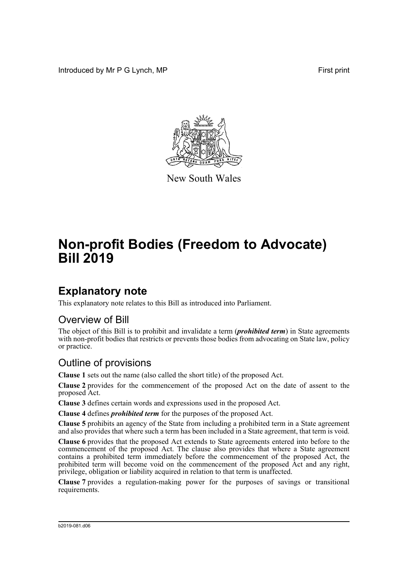Introduced by Mr P G Lynch, MP **First** print



New South Wales

# **Non-profit Bodies (Freedom to Advocate) Bill 2019**

### **Explanatory note**

This explanatory note relates to this Bill as introduced into Parliament.

#### Overview of Bill

The object of this Bill is to prohibit and invalidate a term (*prohibited term*) in State agreements with non-profit bodies that restricts or prevents those bodies from advocating on State law, policy or practice.

#### Outline of provisions

**Clause 1** sets out the name (also called the short title) of the proposed Act.

**Clause 2** provides for the commencement of the proposed Act on the date of assent to the proposed Act.

**Clause 3** defines certain words and expressions used in the proposed Act.

**Clause 4** defines *prohibited term* for the purposes of the proposed Act.

**Clause 5** prohibits an agency of the State from including a prohibited term in a State agreement and also provides that where such a term has been included in a State agreement, that term is void.

**Clause 6** provides that the proposed Act extends to State agreements entered into before to the commencement of the proposed Act. The clause also provides that where a State agreement contains a prohibited term immediately before the commencement of the proposed Act, the prohibited term will become void on the commencement of the proposed Act and any right, privilege, obligation or liability acquired in relation to that term is unaffected.

**Clause 7** provides a regulation-making power for the purposes of savings or transitional requirements.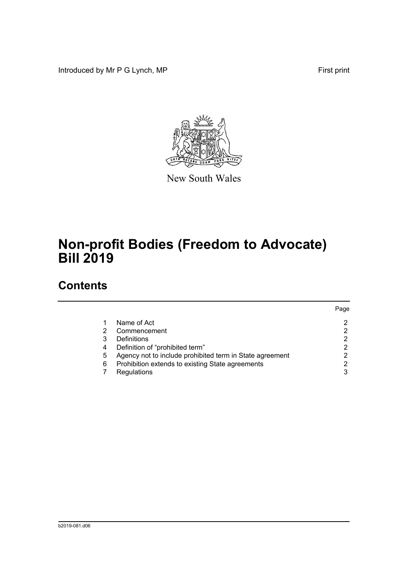Introduced by Mr P G Lynch, MP First print



New South Wales

# **Non-profit Bodies (Freedom to Advocate) Bill 2019**

## **Contents**

|   |                                                          | Page |
|---|----------------------------------------------------------|------|
|   | Name of Act                                              |      |
| 2 | Commencement                                             |      |
| 3 | Definitions                                              |      |
| 4 | Definition of "prohibited term"                          |      |
| 5 | Agency not to include prohibited term in State agreement |      |
| 6 | Prohibition extends to existing State agreements         |      |
|   | Regulations                                              | 3    |
|   |                                                          |      |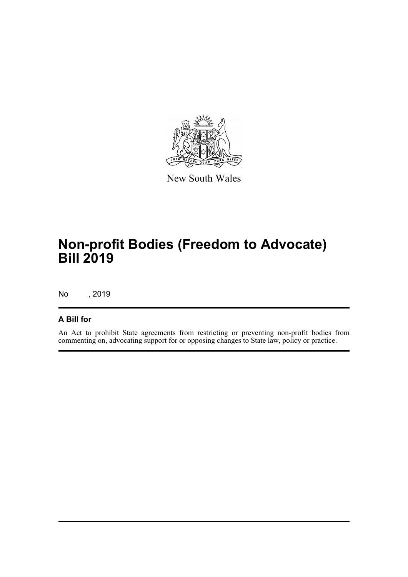

New South Wales

## **Non-profit Bodies (Freedom to Advocate) Bill 2019**

No , 2019

#### **A Bill for**

An Act to prohibit State agreements from restricting or preventing non-profit bodies from commenting on, advocating support for or opposing changes to State law, policy or practice.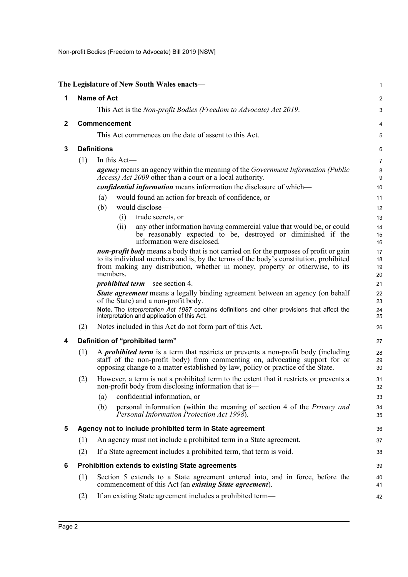Non-profit Bodies (Freedom to Advocate) Bill 2019 [NSW]

<span id="page-3-5"></span><span id="page-3-4"></span><span id="page-3-3"></span><span id="page-3-2"></span><span id="page-3-1"></span><span id="page-3-0"></span>

|              |     | The Legislature of New South Wales enacts-                                                                                                                                                                                                                    | 1              |
|--------------|-----|---------------------------------------------------------------------------------------------------------------------------------------------------------------------------------------------------------------------------------------------------------------|----------------|
| 1            |     | <b>Name of Act</b>                                                                                                                                                                                                                                            | 2              |
|              |     | This Act is the <i>Non-profit Bodies (Freedom to Advocate) Act 2019</i> .                                                                                                                                                                                     | 3              |
| $\mathbf{2}$ |     | Commencement                                                                                                                                                                                                                                                  | 4              |
|              |     | This Act commences on the date of assent to this Act.                                                                                                                                                                                                         | 5              |
| 3            |     | <b>Definitions</b>                                                                                                                                                                                                                                            | 6              |
|              | (1) | In this Act-                                                                                                                                                                                                                                                  | 7              |
|              |     | <i>agency</i> means an agency within the meaning of the <i>Government Information (Public</i><br><i>Access</i> ) <i>Act 2009</i> other than a court or a local authority.                                                                                     | 8<br>9         |
|              |     | <i>confidential information</i> means information the disclosure of which-                                                                                                                                                                                    | 10             |
|              |     | would found an action for breach of confidence, or<br>(a)                                                                                                                                                                                                     | 11             |
|              |     | (b)<br>would disclose—                                                                                                                                                                                                                                        | 12             |
|              |     | trade secrets, or<br>(i)                                                                                                                                                                                                                                      | 13             |
|              |     | any other information having commercial value that would be, or could<br>(ii)<br>be reasonably expected to be, destroyed or diminished if the<br>information were disclosed.                                                                                  | 14<br>15<br>16 |
|              |     | non-profit body means a body that is not carried on for the purposes of profit or gain<br>to its individual members and is, by the terms of the body's constitution, prohibited                                                                               | 17<br>18       |
|              |     | from making any distribution, whether in money, property or otherwise, to its<br>members.                                                                                                                                                                     | 19<br>20       |
|              |     | <i>prohibited term—see section 4.</i>                                                                                                                                                                                                                         | 21             |
|              |     | <b>State agreement</b> means a legally binding agreement between an agency (on behalf<br>of the State) and a non-profit body.                                                                                                                                 | 22<br>23       |
|              |     | Note. The Interpretation Act 1987 contains definitions and other provisions that affect the<br>interpretation and application of this Act.                                                                                                                    | 24<br>25       |
|              | (2) | Notes included in this Act do not form part of this Act.                                                                                                                                                                                                      | 26             |
| 4            |     | Definition of "prohibited term"                                                                                                                                                                                                                               | 27             |
|              | (1) | A <i>prohibited term</i> is a term that restricts or prevents a non-profit body (including<br>staff of the non-profit body) from commenting on, advocating support for or<br>opposing change to a matter established by law, policy or practice of the State. | 28<br>29<br>30 |
|              | (2) | However, a term is not a prohibited term to the extent that it restricts or prevents a<br>non-profit body from disclosing information that is—                                                                                                                | 31<br>32       |
|              |     | confidential information, or<br>(a)                                                                                                                                                                                                                           | 33             |
|              |     | personal information (within the meaning of section 4 of the Privacy and<br>(b)<br>Personal Information Protection Act 1998).                                                                                                                                 | 34<br>35       |
| 5            |     | Agency not to include prohibited term in State agreement                                                                                                                                                                                                      | 36             |
|              | (1) | An agency must not include a prohibited term in a State agreement.                                                                                                                                                                                            | 37             |
|              | (2) | If a State agreement includes a prohibited term, that term is void.                                                                                                                                                                                           | 38             |
| 6            |     | <b>Prohibition extends to existing State agreements</b>                                                                                                                                                                                                       | 39             |
|              | (1) | Section 5 extends to a State agreement entered into, and in force, before the<br>commencement of this Act (an existing State agreement).                                                                                                                      | 40<br>41       |
|              | (2) | If an existing State agreement includes a prohibited term—                                                                                                                                                                                                    | 42             |